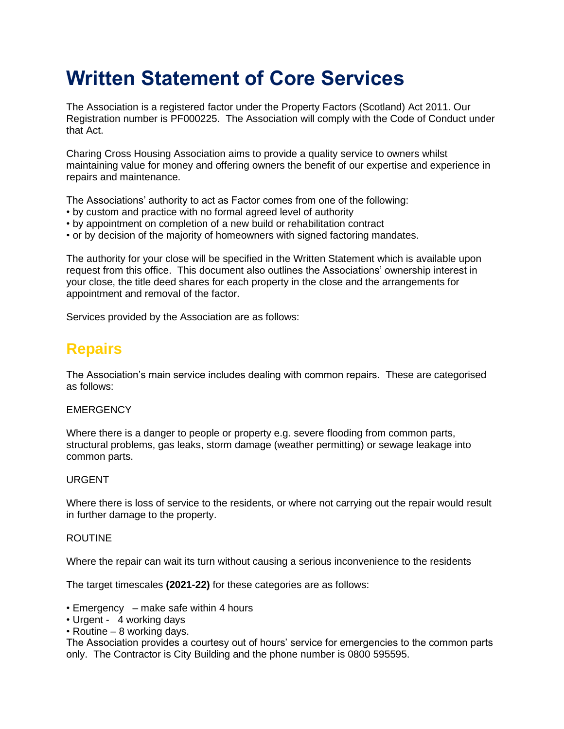# **Written Statement of Core Services**

The Association is a registered factor under the Property Factors (Scotland) Act 2011. Our Registration number is PF000225. The Association will comply with the Code of Conduct under that Act.

Charing Cross Housing Association aims to provide a quality service to owners whilst maintaining value for money and offering owners the benefit of our expertise and experience in repairs and maintenance.

The Associations' authority to act as Factor comes from one of the following:

- by custom and practice with no formal agreed level of authority
- by appointment on completion of a new build or rehabilitation contract
- or by decision of the majority of homeowners with signed factoring mandates.

The authority for your close will be specified in the Written Statement which is available upon request from this office. This document also outlines the Associations' ownership interest in your close, the title deed shares for each property in the close and the arrangements for appointment and removal of the factor.

Services provided by the Association are as follows:

#### **Repairs**

The Association's main service includes dealing with common repairs. These are categorised as follows:

#### **EMERGENCY**

Where there is a danger to people or property e.g. severe flooding from common parts, structural problems, gas leaks, storm damage (weather permitting) or sewage leakage into common parts.

#### URGENT

Where there is loss of service to the residents, or where not carrying out the repair would result in further damage to the property.

#### ROUTINE

Where the repair can wait its turn without causing a serious inconvenience to the residents

The target timescales **(2021-22)** for these categories are as follows:

- Emergency make safe within 4 hours
- Urgent 4 working days
- Routine 8 working days.

The Association provides a courtesy out of hours' service for emergencies to the common parts only. The Contractor is City Building and the phone number is 0800 595595.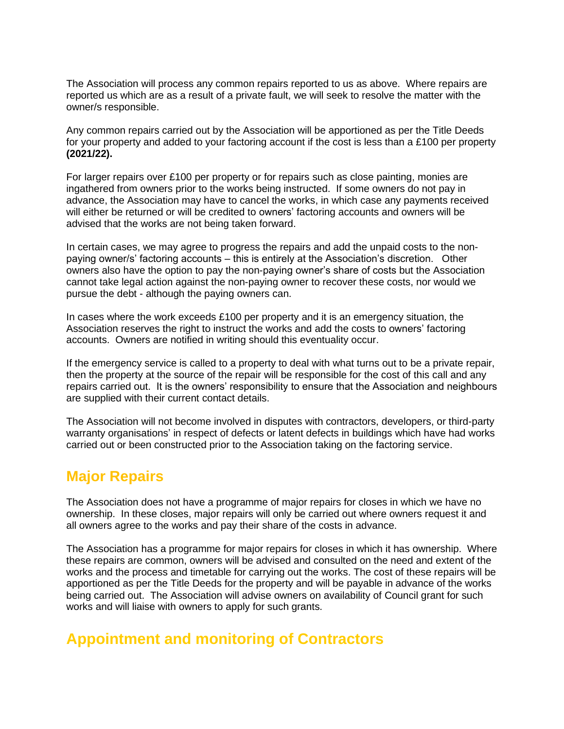The Association will process any common repairs reported to us as above. Where repairs are reported us which are as a result of a private fault, we will seek to resolve the matter with the owner/s responsible.

Any common repairs carried out by the Association will be apportioned as per the Title Deeds for your property and added to your factoring account if the cost is less than a £100 per property **(2021/22).**

For larger repairs over £100 per property or for repairs such as close painting, monies are ingathered from owners prior to the works being instructed. If some owners do not pay in advance, the Association may have to cancel the works, in which case any payments received will either be returned or will be credited to owners' factoring accounts and owners will be advised that the works are not being taken forward.

In certain cases, we may agree to progress the repairs and add the unpaid costs to the nonpaying owner/s' factoring accounts – this is entirely at the Association's discretion. Other owners also have the option to pay the non-paying owner's share of costs but the Association cannot take legal action against the non-paying owner to recover these costs, nor would we pursue the debt - although the paying owners can.

In cases where the work exceeds  $£100$  per property and it is an emergency situation, the Association reserves the right to instruct the works and add the costs to owners' factoring accounts. Owners are notified in writing should this eventuality occur.

If the emergency service is called to a property to deal with what turns out to be a private repair, then the property at the source of the repair will be responsible for the cost of this call and any repairs carried out. It is the owners' responsibility to ensure that the Association and neighbours are supplied with their current contact details.

The Association will not become involved in disputes with contractors, developers, or third-party warranty organisations' in respect of defects or latent defects in buildings which have had works carried out or been constructed prior to the Association taking on the factoring service.

#### **Major Repairs**

The Association does not have a programme of major repairs for closes in which we have no ownership. In these closes, major repairs will only be carried out where owners request it and all owners agree to the works and pay their share of the costs in advance.

The Association has a programme for major repairs for closes in which it has ownership. Where these repairs are common, owners will be advised and consulted on the need and extent of the works and the process and timetable for carrying out the works. The cost of these repairs will be apportioned as per the Title Deeds for the property and will be payable in advance of the works being carried out. The Association will advise owners on availability of Council grant for such works and will liaise with owners to apply for such grants.

#### **Appointment and monitoring of Contractors**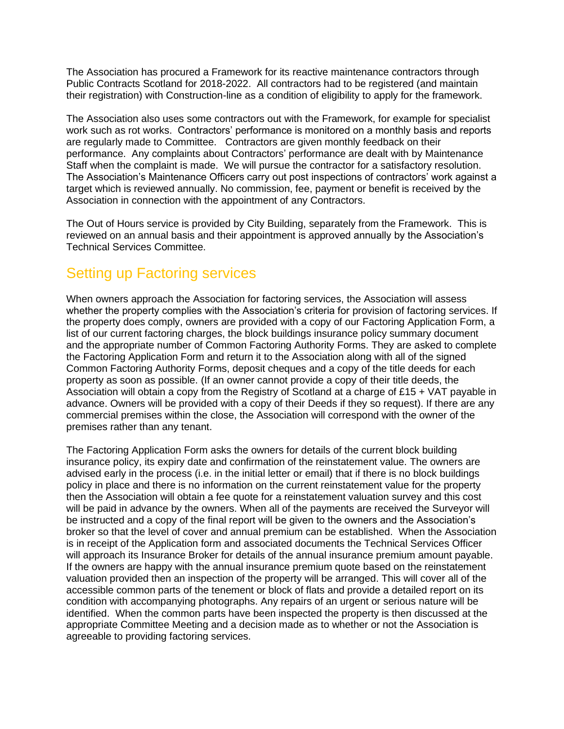The Association has procured a Framework for its reactive maintenance contractors through Public Contracts Scotland for 2018-2022. All contractors had to be registered (and maintain their registration) with Construction-line as a condition of eligibility to apply for the framework.

The Association also uses some contractors out with the Framework, for example for specialist work such as rot works. Contractors' performance is monitored on a monthly basis and reports are regularly made to Committee. Contractors are given monthly feedback on their performance. Any complaints about Contractors' performance are dealt with by Maintenance Staff when the complaint is made. We will pursue the contractor for a satisfactory resolution. The Association's Maintenance Officers carry out post inspections of contractors' work against a target which is reviewed annually. No commission, fee, payment or benefit is received by the Association in connection with the appointment of any Contractors.

The Out of Hours service is provided by City Building, separately from the Framework. This is reviewed on an annual basis and their appointment is approved annually by the Association's Technical Services Committee.

#### Setting up Factoring services

When owners approach the Association for factoring services, the Association will assess whether the property complies with the Association's criteria for provision of factoring services. If the property does comply, owners are provided with a copy of our Factoring Application Form, a list of our current factoring charges, the block buildings insurance policy summary document and the appropriate number of Common Factoring Authority Forms. They are asked to complete the Factoring Application Form and return it to the Association along with all of the signed Common Factoring Authority Forms, deposit cheques and a copy of the title deeds for each property as soon as possible. (If an owner cannot provide a copy of their title deeds, the Association will obtain a copy from the Registry of Scotland at a charge of £15 + VAT payable in advance. Owners will be provided with a copy of their Deeds if they so request). If there are any commercial premises within the close, the Association will correspond with the owner of the premises rather than any tenant.

The Factoring Application Form asks the owners for details of the current block building insurance policy, its expiry date and confirmation of the reinstatement value. The owners are advised early in the process (i.e. in the initial letter or email) that if there is no block buildings policy in place and there is no information on the current reinstatement value for the property then the Association will obtain a fee quote for a reinstatement valuation survey and this cost will be paid in advance by the owners. When all of the payments are received the Surveyor will be instructed and a copy of the final report will be given to the owners and the Association's broker so that the level of cover and annual premium can be established. When the Association is in receipt of the Application form and associated documents the Technical Services Officer will approach its Insurance Broker for details of the annual insurance premium amount payable. If the owners are happy with the annual insurance premium quote based on the reinstatement valuation provided then an inspection of the property will be arranged. This will cover all of the accessible common parts of the tenement or block of flats and provide a detailed report on its condition with accompanying photographs. Any repairs of an urgent or serious nature will be identified. When the common parts have been inspected the property is then discussed at the appropriate Committee Meeting and a decision made as to whether or not the Association is agreeable to providing factoring services.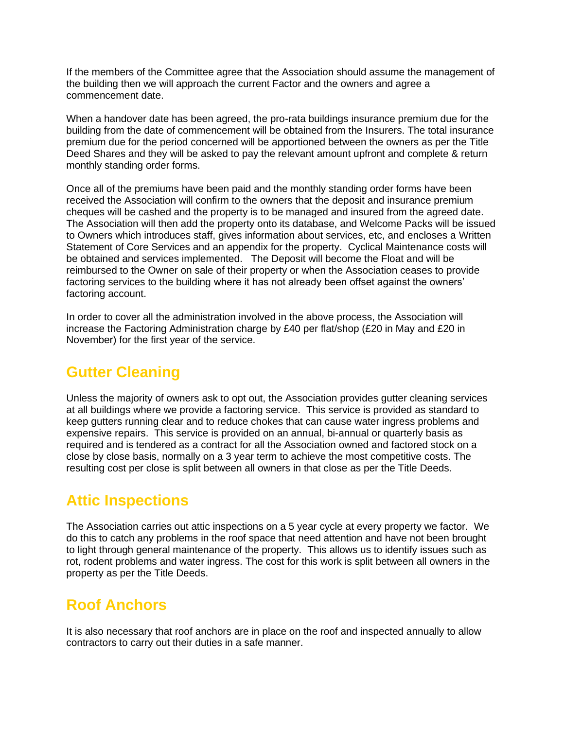If the members of the Committee agree that the Association should assume the management of the building then we will approach the current Factor and the owners and agree a commencement date.

When a handover date has been agreed, the pro-rata buildings insurance premium due for the building from the date of commencement will be obtained from the Insurers. The total insurance premium due for the period concerned will be apportioned between the owners as per the Title Deed Shares and they will be asked to pay the relevant amount upfront and complete & return monthly standing order forms.

Once all of the premiums have been paid and the monthly standing order forms have been received the Association will confirm to the owners that the deposit and insurance premium cheques will be cashed and the property is to be managed and insured from the agreed date. The Association will then add the property onto its database, and Welcome Packs will be issued to Owners which introduces staff, gives information about services, etc, and encloses a Written Statement of Core Services and an appendix for the property. Cyclical Maintenance costs will be obtained and services implemented. The Deposit will become the Float and will be reimbursed to the Owner on sale of their property or when the Association ceases to provide factoring services to the building where it has not already been offset against the owners' factoring account.

In order to cover all the administration involved in the above process, the Association will increase the Factoring Administration charge by £40 per flat/shop (£20 in May and £20 in November) for the first year of the service.

### **Gutter Cleaning**

Unless the majority of owners ask to opt out, the Association provides gutter cleaning services at all buildings where we provide a factoring service. This service is provided as standard to keep gutters running clear and to reduce chokes that can cause water ingress problems and expensive repairs. This service is provided on an annual, bi-annual or quarterly basis as required and is tendered as a contract for all the Association owned and factored stock on a close by close basis, normally on a 3 year term to achieve the most competitive costs. The resulting cost per close is split between all owners in that close as per the Title Deeds.

#### **Attic Inspections**

The Association carries out attic inspections on a 5 year cycle at every property we factor. We do this to catch any problems in the roof space that need attention and have not been brought to light through general maintenance of the property. This allows us to identify issues such as rot, rodent problems and water ingress. The cost for this work is split between all owners in the property as per the Title Deeds.

### **Roof Anchors**

It is also necessary that roof anchors are in place on the roof and inspected annually to allow contractors to carry out their duties in a safe manner.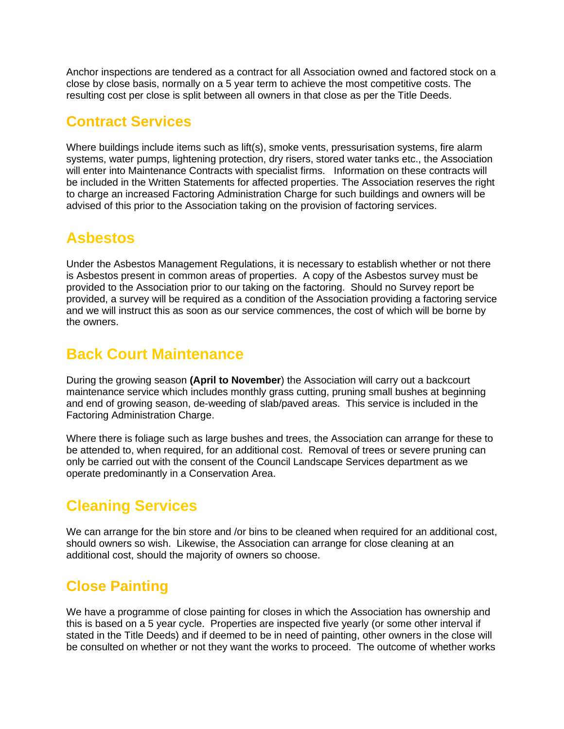Anchor inspections are tendered as a contract for all Association owned and factored stock on a close by close basis, normally on a 5 year term to achieve the most competitive costs. The resulting cost per close is split between all owners in that close as per the Title Deeds.

#### **Contract Services**

Where buildings include items such as lift(s), smoke vents, pressurisation systems, fire alarm systems, water pumps, lightening protection, dry risers, stored water tanks etc., the Association will enter into Maintenance Contracts with specialist firms. Information on these contracts will be included in the Written Statements for affected properties. The Association reserves the right to charge an increased Factoring Administration Charge for such buildings and owners will be advised of this prior to the Association taking on the provision of factoring services.

#### **Asbestos**

Under the Asbestos Management Regulations, it is necessary to establish whether or not there is Asbestos present in common areas of properties. A copy of the Asbestos survey must be provided to the Association prior to our taking on the factoring. Should no Survey report be provided, a survey will be required as a condition of the Association providing a factoring service and we will instruct this as soon as our service commences, the cost of which will be borne by the owners.

### **Back Court Maintenance**

During the growing season **(April to November**) the Association will carry out a backcourt maintenance service which includes monthly grass cutting, pruning small bushes at beginning and end of growing season, de-weeding of slab/paved areas. This service is included in the Factoring Administration Charge.

Where there is foliage such as large bushes and trees, the Association can arrange for these to be attended to, when required, for an additional cost. Removal of trees or severe pruning can only be carried out with the consent of the Council Landscape Services department as we operate predominantly in a Conservation Area.

# **Cleaning Services**

We can arrange for the bin store and /or bins to be cleaned when required for an additional cost, should owners so wish. Likewise, the Association can arrange for close cleaning at an additional cost, should the majority of owners so choose.

### **Close Painting**

We have a programme of close painting for closes in which the Association has ownership and this is based on a 5 year cycle. Properties are inspected five yearly (or some other interval if stated in the Title Deeds) and if deemed to be in need of painting, other owners in the close will be consulted on whether or not they want the works to proceed. The outcome of whether works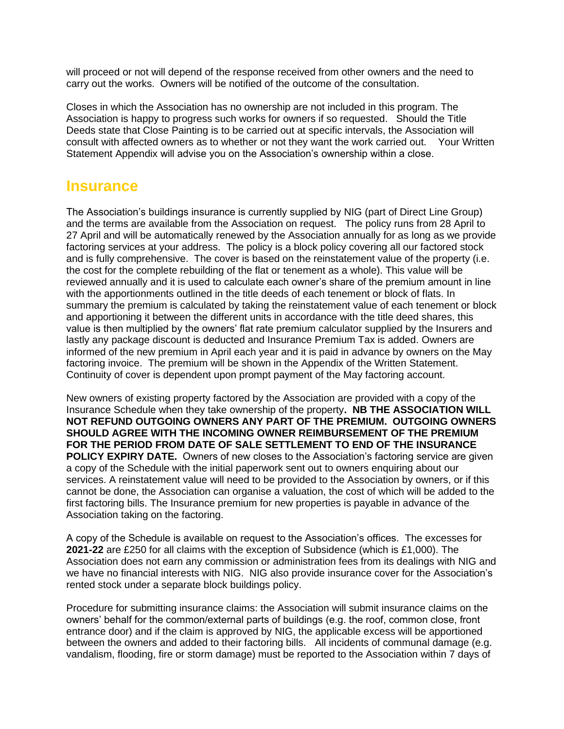will proceed or not will depend of the response received from other owners and the need to carry out the works. Owners will be notified of the outcome of the consultation.

Closes in which the Association has no ownership are not included in this program. The Association is happy to progress such works for owners if so requested. Should the Title Deeds state that Close Painting is to be carried out at specific intervals, the Association will consult with affected owners as to whether or not they want the work carried out. Your Written Statement Appendix will advise you on the Association's ownership within a close.

#### **Insurance**

The Association's buildings insurance is currently supplied by NIG (part of Direct Line Group) and the terms are available from the Association on request. The policy runs from 28 April to 27 April and will be automatically renewed by the Association annually for as long as we provide factoring services at your address. The policy is a block policy covering all our factored stock and is fully comprehensive. The cover is based on the reinstatement value of the property (i.e. the cost for the complete rebuilding of the flat or tenement as a whole). This value will be reviewed annually and it is used to calculate each owner's share of the premium amount in line with the apportionments outlined in the title deeds of each tenement or block of flats. In summary the premium is calculated by taking the reinstatement value of each tenement or block and apportioning it between the different units in accordance with the title deed shares, this value is then multiplied by the owners' flat rate premium calculator supplied by the Insurers and lastly any package discount is deducted and Insurance Premium Tax is added. Owners are informed of the new premium in April each year and it is paid in advance by owners on the May factoring invoice. The premium will be shown in the Appendix of the Written Statement. Continuity of cover is dependent upon prompt payment of the May factoring account.

New owners of existing property factored by the Association are provided with a copy of the Insurance Schedule when they take ownership of the property**. NB THE ASSOCIATION WILL NOT REFUND OUTGOING OWNERS ANY PART OF THE PREMIUM. OUTGOING OWNERS SHOULD AGREE WITH THE INCOMING OWNER REIMBURSEMENT OF THE PREMIUM FOR THE PERIOD FROM DATE OF SALE SETTLEMENT TO END OF THE INSURANCE POLICY EXPIRY DATE.** Owners of new closes to the Association's factoring service are given a copy of the Schedule with the initial paperwork sent out to owners enquiring about our services. A reinstatement value will need to be provided to the Association by owners, or if this cannot be done, the Association can organise a valuation, the cost of which will be added to the first factoring bills. The Insurance premium for new properties is payable in advance of the Association taking on the factoring.

A copy of the Schedule is available on request to the Association's offices. The excesses for **2021-22** are £250 for all claims with the exception of Subsidence (which is £1,000). The Association does not earn any commission or administration fees from its dealings with NIG and we have no financial interests with NIG. NIG also provide insurance cover for the Association's rented stock under a separate block buildings policy.

Procedure for submitting insurance claims: the Association will submit insurance claims on the owners' behalf for the common/external parts of buildings (e.g. the roof, common close, front entrance door) and if the claim is approved by NIG, the applicable excess will be apportioned between the owners and added to their factoring bills. All incidents of communal damage (e.g. vandalism, flooding, fire or storm damage) must be reported to the Association within 7 days of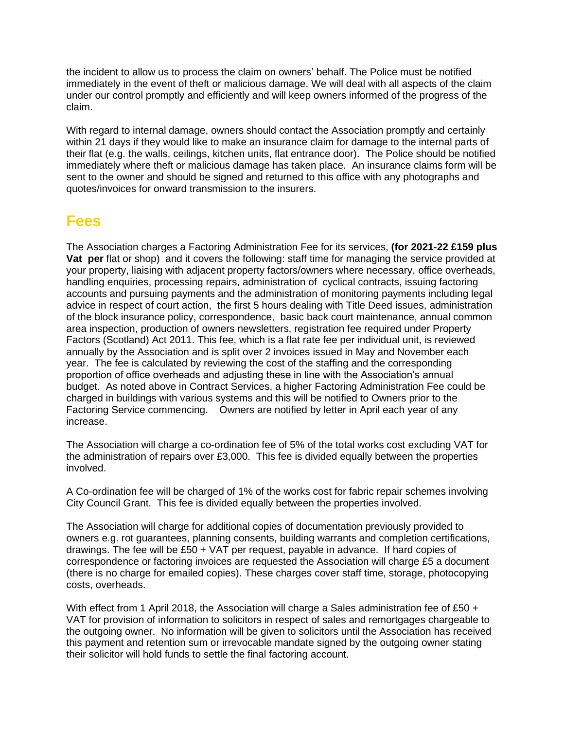the incident to allow us to process the claim on owners' behalf. The Police must be notified immediately in the event of theft or malicious damage. We will deal with all aspects of the claim under our control promptly and efficiently and will keep owners informed of the progress of the claim.

With regard to internal damage, owners should contact the Association promptly and certainly within 21 days if they would like to make an insurance claim for damage to the internal parts of their flat (e.g. the walls, ceilings, kitchen units, flat entrance door). The Police should be notified immediately where theft or malicious damage has taken place. An insurance claims form will be sent to the owner and should be signed and returned to this office with any photographs and quotes/invoices for onward transmission to the insurers.

#### **Fees**

The Association charges a Factoring Administration Fee for its services, **(for 2021-22 £159 plus Vat per** flat or shop) and it covers the following: staff time for managing the service provided at your property, liaising with adjacent property factors/owners where necessary, office overheads, handling enquiries, processing repairs, administration of cyclical contracts, issuing factoring accounts and pursuing payments and the administration of monitoring payments including legal advice in respect of court action, the first 5 hours dealing with Title Deed issues, administration of the block insurance policy, correspondence, basic back court maintenance, annual common area inspection, production of owners newsletters, registration fee required under Property Factors (Scotland) Act 2011. This fee, which is a flat rate fee per individual unit, is reviewed annually by the Association and is split over 2 invoices issued in May and November each year. The fee is calculated by reviewing the cost of the staffing and the corresponding proportion of office overheads and adjusting these in line with the Association's annual budget. As noted above in Contract Services, a higher Factoring Administration Fee could be charged in buildings with various systems and this will be notified to Owners prior to the Factoring Service commencing. Owners are notified by letter in April each year of any increase.

The Association will charge a co-ordination fee of 5% of the total works cost excluding VAT for the administration of repairs over £3,000. This fee is divided equally between the properties involved.

A Co-ordination fee will be charged of 1% of the works cost for fabric repair schemes involving City Council Grant. This fee is divided equally between the properties involved.

The Association will charge for additional copies of documentation previously provided to owners e.g. rot guarantees, planning consents, building warrants and completion certifications, drawings. The fee will be £50 + VAT per request, payable in advance. If hard copies of correspondence or factoring invoices are requested the Association will charge £5 a document (there is no charge for emailed copies). These charges cover staff time, storage, photocopying costs, overheads.

With effect from 1 April 2018, the Association will charge a Sales administration fee of £50 + VAT for provision of information to solicitors in respect of sales and remortgages chargeable to the outgoing owner. No information will be given to solicitors until the Association has received this payment and retention sum or irrevocable mandate signed by the outgoing owner stating their solicitor will hold funds to settle the final factoring account.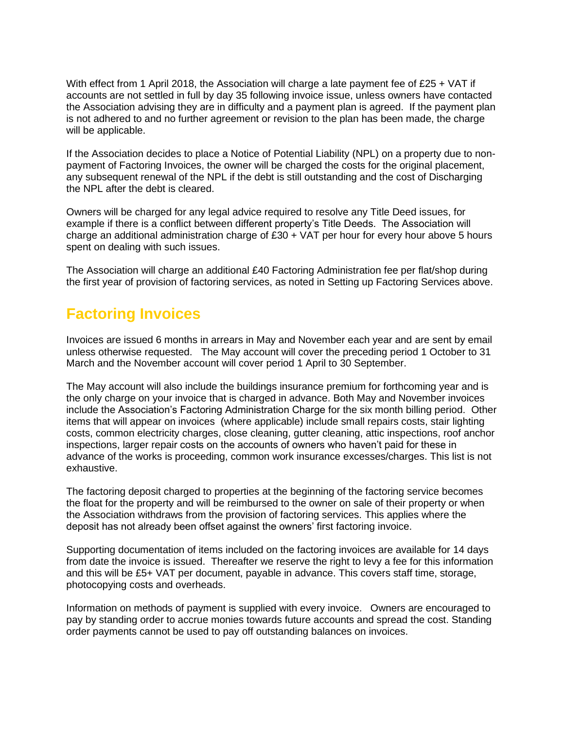With effect from 1 April 2018, the Association will charge a late payment fee of £25 + VAT if accounts are not settled in full by day 35 following invoice issue, unless owners have contacted the Association advising they are in difficulty and a payment plan is agreed. If the payment plan is not adhered to and no further agreement or revision to the plan has been made, the charge will be applicable.

If the Association decides to place a Notice of Potential Liability (NPL) on a property due to nonpayment of Factoring Invoices, the owner will be charged the costs for the original placement, any subsequent renewal of the NPL if the debt is still outstanding and the cost of Discharging the NPL after the debt is cleared.

Owners will be charged for any legal advice required to resolve any Title Deed issues, for example if there is a conflict between different property's Title Deeds. The Association will charge an additional administration charge of £30 + VAT per hour for every hour above 5 hours spent on dealing with such issues.

The Association will charge an additional £40 Factoring Administration fee per flat/shop during the first year of provision of factoring services, as noted in Setting up Factoring Services above.

#### **Factoring Invoices**

Invoices are issued 6 months in arrears in May and November each year and are sent by email unless otherwise requested. The May account will cover the preceding period 1 October to 31 March and the November account will cover period 1 April to 30 September.

The May account will also include the buildings insurance premium for forthcoming year and is the only charge on your invoice that is charged in advance. Both May and November invoices include the Association's Factoring Administration Charge for the six month billing period. Other items that will appear on invoices (where applicable) include small repairs costs, stair lighting costs, common electricity charges, close cleaning, gutter cleaning, attic inspections, roof anchor inspections, larger repair costs on the accounts of owners who haven't paid for these in advance of the works is proceeding, common work insurance excesses/charges. This list is not exhaustive.

The factoring deposit charged to properties at the beginning of the factoring service becomes the float for the property and will be reimbursed to the owner on sale of their property or when the Association withdraws from the provision of factoring services. This applies where the deposit has not already been offset against the owners' first factoring invoice.

Supporting documentation of items included on the factoring invoices are available for 14 days from date the invoice is issued. Thereafter we reserve the right to levy a fee for this information and this will be £5+ VAT per document, payable in advance. This covers staff time, storage, photocopying costs and overheads.

Information on methods of payment is supplied with every invoice. Owners are encouraged to pay by standing order to accrue monies towards future accounts and spread the cost. Standing order payments cannot be used to pay off outstanding balances on invoices.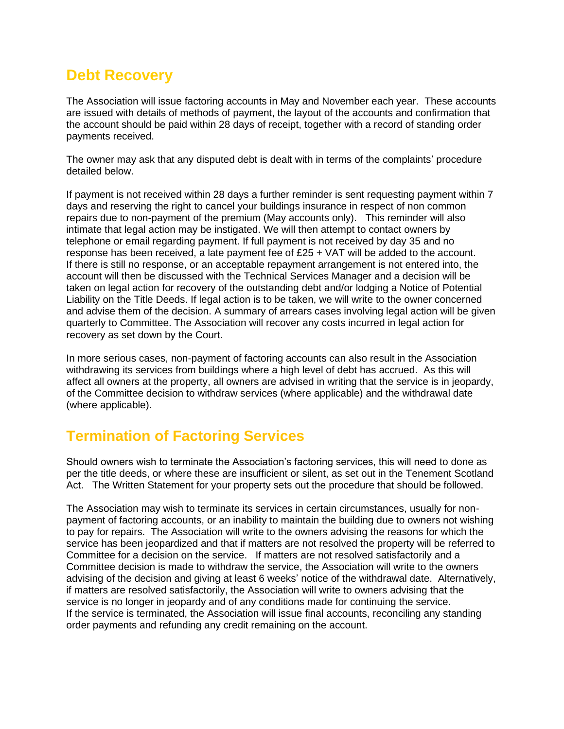### **Debt Recovery**

The Association will issue factoring accounts in May and November each year. These accounts are issued with details of methods of payment, the layout of the accounts and confirmation that the account should be paid within 28 days of receipt, together with a record of standing order payments received.

The owner may ask that any disputed debt is dealt with in terms of the complaints' procedure detailed below.

If payment is not received within 28 days a further reminder is sent requesting payment within 7 days and reserving the right to cancel your buildings insurance in respect of non common repairs due to non-payment of the premium (May accounts only). This reminder will also intimate that legal action may be instigated. We will then attempt to contact owners by telephone or email regarding payment. If full payment is not received by day 35 and no response has been received, a late payment fee of £25 + VAT will be added to the account. If there is still no response, or an acceptable repayment arrangement is not entered into, the account will then be discussed with the Technical Services Manager and a decision will be taken on legal action for recovery of the outstanding debt and/or lodging a Notice of Potential Liability on the Title Deeds. If legal action is to be taken, we will write to the owner concerned and advise them of the decision. A summary of arrears cases involving legal action will be given quarterly to Committee. The Association will recover any costs incurred in legal action for recovery as set down by the Court.

In more serious cases, non-payment of factoring accounts can also result in the Association withdrawing its services from buildings where a high level of debt has accrued. As this will affect all owners at the property, all owners are advised in writing that the service is in jeopardy, of the Committee decision to withdraw services (where applicable) and the withdrawal date (where applicable).

### **Termination of Factoring Services**

Should owners wish to terminate the Association's factoring services, this will need to done as per the title deeds, or where these are insufficient or silent, as set out in the Tenement Scotland Act. The Written Statement for your property sets out the procedure that should be followed.

The Association may wish to terminate its services in certain circumstances, usually for nonpayment of factoring accounts, or an inability to maintain the building due to owners not wishing to pay for repairs. The Association will write to the owners advising the reasons for which the service has been jeopardized and that if matters are not resolved the property will be referred to Committee for a decision on the service. If matters are not resolved satisfactorily and a Committee decision is made to withdraw the service, the Association will write to the owners advising of the decision and giving at least 6 weeks' notice of the withdrawal date. Alternatively, if matters are resolved satisfactorily, the Association will write to owners advising that the service is no longer in jeopardy and of any conditions made for continuing the service. If the service is terminated, the Association will issue final accounts, reconciling any standing order payments and refunding any credit remaining on the account.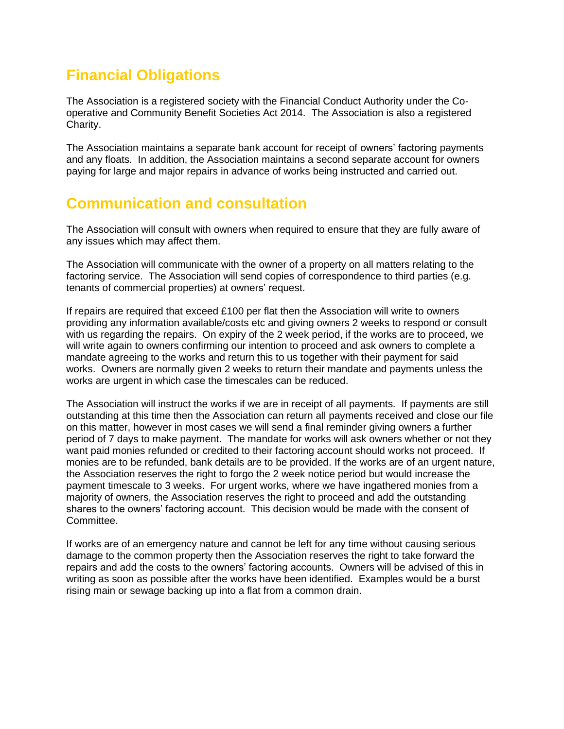# **Financial Obligations**

The Association is a registered society with the Financial Conduct Authority under the Cooperative and Community Benefit Societies Act 2014. The Association is also a registered Charity.

The Association maintains a separate bank account for receipt of owners' factoring payments and any floats. In addition, the Association maintains a second separate account for owners paying for large and major repairs in advance of works being instructed and carried out.

#### **Communication and consultation**

The Association will consult with owners when required to ensure that they are fully aware of any issues which may affect them.

The Association will communicate with the owner of a property on all matters relating to the factoring service. The Association will send copies of correspondence to third parties (e.g. tenants of commercial properties) at owners' request.

If repairs are required that exceed £100 per flat then the Association will write to owners providing any information available/costs etc and giving owners 2 weeks to respond or consult with us regarding the repairs. On expiry of the 2 week period, if the works are to proceed, we will write again to owners confirming our intention to proceed and ask owners to complete a mandate agreeing to the works and return this to us together with their payment for said works. Owners are normally given 2 weeks to return their mandate and payments unless the works are urgent in which case the timescales can be reduced.

The Association will instruct the works if we are in receipt of all payments. If payments are still outstanding at this time then the Association can return all payments received and close our file on this matter, however in most cases we will send a final reminder giving owners a further period of 7 days to make payment. The mandate for works will ask owners whether or not they want paid monies refunded or credited to their factoring account should works not proceed. If monies are to be refunded, bank details are to be provided. If the works are of an urgent nature, the Association reserves the right to forgo the 2 week notice period but would increase the payment timescale to 3 weeks. For urgent works, where we have ingathered monies from a majority of owners, the Association reserves the right to proceed and add the outstanding shares to the owners' factoring account. This decision would be made with the consent of Committee.

If works are of an emergency nature and cannot be left for any time without causing serious damage to the common property then the Association reserves the right to take forward the repairs and add the costs to the owners' factoring accounts. Owners will be advised of this in writing as soon as possible after the works have been identified. Examples would be a burst rising main or sewage backing up into a flat from a common drain.